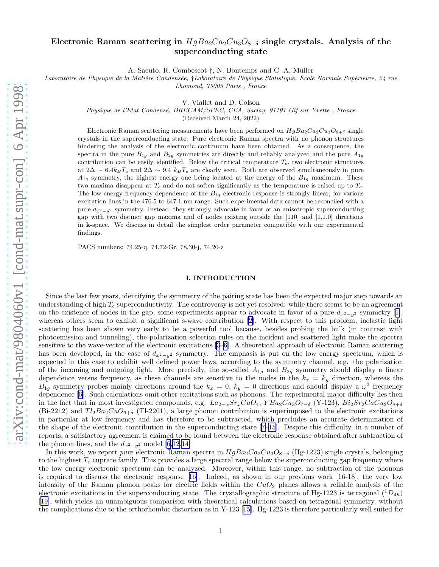# Electronic Raman scattering in  $HgBa_2Ca_2Cu_3O_{8+\delta}$  single crystals. Analysis of the superconducting state

A. Sacuto, R. Combescot  $\dagger$ , N. Bontemps and C. A. Müller

Laboratoire de Physique de la Matière Condensée, †Laboratoire de Physique Statistique, Ecole Normale Supérieure, 24 rue

Lhomond, 75005 Paris , France

V. Viallet and D. Colson

Physique de l'Etat Condensé, DRECAM/SPEC, CEA, Saclay, 91191 Gif sur Yvette, France

(Received March 24, 2022)

Electronic Raman scattering measurements have been performed on  $HgBa_2Ca_2Cu_3O_{8+\delta}$  single crystals in the superconducting state. Pure electronic Raman spectra with no phonon structures hindering the analysis of the electronic continuum have been obtained. As a consequence, the spectra in the pure  $B_{1q}$  and  $B_{2q}$  symmetries are directly and reliably analyzed and the pure  $A_{1q}$ contribution can be easily identified. Below the critical temperature  $T_c$ , two electronic structures at  $2\Delta \sim 6.4 k_B T_c$  and  $2\Delta \sim 9.4 k_B T_c$  are clearly seen. Both are observed simultaneously in pure  $A_{1q}$  symmetry, the highest energy one being located at the energy of the  $B_{1q}$  maximum. These two maxima disappear at  $T_c$  and do not soften significantly as the temperature is raised up to  $T_c$ . The low energy frequency dependence of the  $B_{1g}$  electronic response is strongly linear, for various excitation lines in the 476.5 to 647.1 nm range. Such experimental data cannot be reconciled with a pure  $d_{x^2-y^2}$  symmetry. Instead, they strongly advocate in favor of an anisotropic superconducting gap with two distinct gap maxima and of nodes existing outside the [110] and [1, $\bar{1}$ ,0] directions in k-space. We discuss in detail the simplest order parameter compatible with our experimental findings.

PACS numbers: 74.25-q, 74.72-Gr, 78.30-j, 74.20-z

#### I. INTRODUCTION

Since the last few years, identifying the symmetry of the pairing state has been the expected major step towards an understanding of high  $T_c$  superconductivity. The controversy is not yet resolved: while there seems to be an agreement onthe existence of nodes in the gap, some experiments appear to advocate in favor of a pure  $d_{x^2-y^2}$  symmetry [[1\]](#page-10-0), whereas others seem to exhibit a significant s-wave contribution [\[2](#page-10-0)]. With respect to this problem, inelastic light scattering has been shown very early to be a powerful tool because, besides probing the bulk (in contrast with photoemission and tunneling), the polarization selection rules on the incident and scattered light make the spectra sensitive to the wave-vector of the electronic excitations [\[3–6](#page-10-0)]. A theoretical approach of electronic Raman scattering has been developed, in the case of  $d_{x^2-y^2}$  symmetry. The emphasis is put on the low energy spectrum, which is expected in this case to exhibit well defined power laws, according to the symmetry channel, e.g. the polarization of the incoming and outgoing light. More precisely, the so-called  $A_{1g}$  and  $B_{2g}$  symmetry should display a linear dependence versus frequency, as these channels are sensitive to the nodes in the  $k_x = k_y$  direction, whereas the  $B_{1g}$  symmetry probes mainly directions around the  $k_x = 0$ ,  $k_y = 0$  directions and should display a  $\omega^3$  frequency dependence[[6\]](#page-10-0). Such calculations omit other excitations such as phonons. The experimental major difficulty lies then in the fact that in most investigated compounds, e.g.  $La_{2-x}Sr_xCuO_4$ ,  $YBa_2Cu_3O_{7-\delta}$  (Y-123),  $Bi_2Sr_2CaCu_2O_{8+\delta}$  $(Bi-2212)$  and  $Tl_2Ba_2CuO_{6+\delta}$  (Tl-2201), a large phonon contribution is superimposed to the electronic excitations in particular at low frequency and has therefore to be subtracted, which precludes an accurate determination of the shape of the electronic contribution in the superconducting state[[7–15\]](#page-10-0). Despite this difficulty, in a number of reports, a satisfactory agreement is claimed to be found between the electronic response obtained after subtraction of thephonon lines, and the  $d_{x^2-y^2}$  model [[6,12,14\]](#page-10-0)

In this work, we report *pure* electronic Raman spectra in  $HgBa_2Ca_2Cu_3O_{8+\delta}$  (Hg-1223) single crystals, belonging to the highest  $T_c$  cuprate family. This provides a large spectral range below the superconducting gap frequency where the low energy electronic spectrum can be analyzed. Moreover, within this range, no subtraction of the phonons is required to discuss the electronic response[[16\]](#page-10-0). Indeed, as shown in our previous work [16-18], the very low intensity of the Raman phonon peaks for electric fields within the  $CuO<sub>2</sub>$  planes allows a reliable analysis of the electronic excitations in the superconducting state. The crystallographic structure of Hg-1223 is tetragonal  $(^1D_{4h})$ [[19\]](#page-10-0), which yields an unambiguous comparison with theoretical calculations based on tetragonal symmetry, without the complications due to the orthorhombic distortion as in Y-123 [\[15](#page-10-0)]. Hg-1223 is therefore particularly well suited for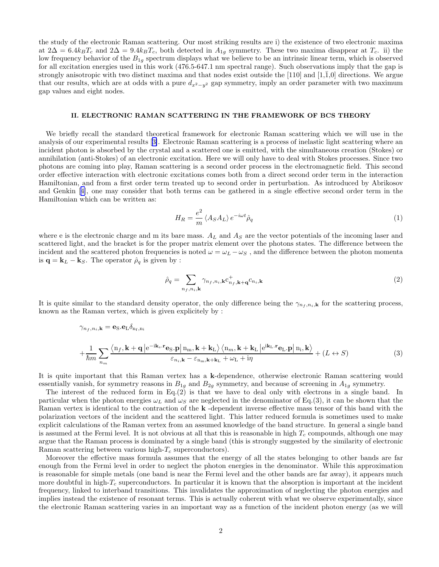the study of the electronic Raman scattering. Our most striking results are i) the existence of two electronic maxima at  $2\Delta = 6.4k_BT_c$  and  $2\Delta = 9.4k_BT_c$ , both detected in  $A_{1g}$  symmetry. These two maxima disappear at  $T_c$ . ii) the low frequency behavior of the  $B_{1g}$  spectrum displays what we believe to be an intrinsic linear term, which is observed for all excitation energies used in this work (476.5-647.1 nm spectral range). Such observations imply that the gap is strongly anisotropic with two distinct maxima and that nodes exist outside the [110] and [1, $\bar{1}$ ,0] directions. We argue that our results, which are at odds with a pure  $d_{x^2-y^2}$  gap symmetry, imply an order parameter with two maximum gap values and eight nodes.

### II. ELECTRONIC RAMAN SCATTERING IN THE FRAMEWORK OF BCS THEORY

We briefly recall the standard theoretical framework for electronic Raman scattering which we will use in the analysis of our experimental results[[3\]](#page-10-0). Electronic Raman scattering is a process of inelastic light scattering where an incident photon is absorbed by the crystal and a scattered one is emitted, with the simultaneous creation (Stokes) or annihilation (anti-Stokes) of an electronic excitation. Here we will only have to deal with Stokes processes. Since two photons are coming into play, Raman scattering is a second order process in the electromagnetic field. This second order effective interaction with electronic excitations comes both from a direct second order term in the interaction Hamiltonian, and from a first order term treated up to second order in perturbation. As introduced by Abrikosov and Genkin[[4\]](#page-10-0), one may consider that both terms can be gathered in a single effective second order term in the Hamiltonian which can be written as:

$$
H_R = \frac{e^2}{m} \langle A_S A_L \rangle e^{-i\omega t} \hat{\rho}_q \tag{1}
$$

where e is the electronic charge and m its bare mass.  $A_L$  and  $A_S$  are the vector potentials of the incoming laser and scattered light, and the bracket is for the proper matrix element over the photons states. The difference between the incident and the scattered photon frequencies is noted  $\omega = \omega_L - \omega_S$ , and the difference between the photon momenta is  $\mathbf{q} = \mathbf{k}_L - \mathbf{k}_S$ . The operator  $\hat{\rho}_q$  is given by :

$$
\hat{\rho}_q = \sum_{n_f, n_i, \mathbf{k}} \gamma_{n_f, n_i, \mathbf{k}} c_{n_f, \mathbf{k} + \mathbf{q}}^{\dagger} c_{n_i, \mathbf{k}} \tag{2}
$$

It is quite similar to the standard density operator, the only difference being the  $\gamma_{n_f,n_i,k}$  for the scattering process, known as the Raman vertex, which is given explicitely by :

$$
\gamma_{n_f, n_i, \mathbf{k}} = \mathbf{e}_{S} \cdot \mathbf{e}_{L} \delta_{n_f, n_i}
$$
\n
$$
+ \frac{1}{\hbar m} \sum_{n_m} \frac{\langle n_f, \mathbf{k} + \mathbf{q} | e^{-i\mathbf{k}_s \cdot \mathbf{r}} \mathbf{e}_{S} \cdot \mathbf{p} | n_m, \mathbf{k} + \mathbf{k}_L \rangle \langle n_m, \mathbf{k} + \mathbf{k}_L | e^{i\mathbf{k}_L \cdot \mathbf{r}} \mathbf{e}_{L} \cdot \mathbf{p} | n_i, \mathbf{k} \rangle}{\varepsilon_{n_i, \mathbf{k}} - \varepsilon_{n_m, \mathbf{k} + \mathbf{k}_L} + \omega_L + i\eta} + (L \leftrightarrow S)
$$
\n(3)

It is quite important that this Raman vertex has a k-dependence, otherwise electronic Raman scattering would essentially vanish, for symmetry reasons in  $B_{1g}$  and  $B_{2g}$  symmetry, and because of screening in  $A_{1g}$  symmetry.

The interest of the reduced form in Eq.(2) is that we have to deal only with electrons in a single band. In particular when the photon energies  $\omega_L$  and  $\omega_S$  are neglected in the denominator of Eq.(3), it can be shown that the Raman vertex is identical to the contraction of the k -dependent inverse effective mass tensor of this band with the polarization vectors of the incident and the scattered light. This latter reduced formula is sometimes used to make explicit calculations of the Raman vertex from an assumed knowledge of the band structure. In general a single band is assumed at the Fermi level. It is not obvious at all that this is reasonable in high  $T_c$  compounds, although one may argue that the Raman process is dominated by a single band (this is strongly suggested by the similarity of electronic Raman scattering between various high- $T_c$  superconductors).

Moreover the effective mass formula assumes that the energy of all the states belonging to other bands are far enough from the Fermi level in order to neglect the photon energies in the denominator. While this approximation is reasonable for simple metals (one band is near the Fermi level and the other bands are far away), it appears much more doubtful in high- $T_c$  superconductors. In particular it is known that the absorption is important at the incident frequency, linked to interband transitions. This invalidates the approximation of neglecting the photon energies and implies instead the existence of resonant terms. This is actually coherent with what we observe experimentally, since the electronic Raman scattering varies in an important way as a function of the incident photon energy (as we will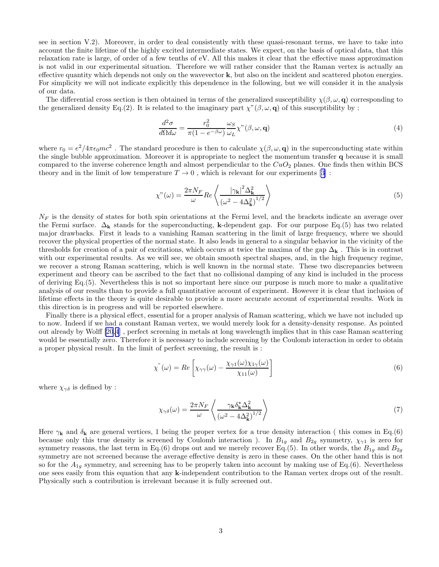see in section V.2). Moreover, in order to deal consistently with these quasi-resonant terms, we have to take into account the finite lifetime of the highly excited intermediate states. We expect, on the basis of optical data, that this relaxation rate is large, of order of a few tenths of eV. All this makes it clear that the effective mass approximation is not valid in our experimental situation. Therefore we will rather consider that the Raman vertex is actually an effective quantity which depends not only on the wavevector  $k$ , but also on the incident and scattered photon energies. For simplicity we will not indicate explicitly this dependence in the following, but we will consider it in the analysis of our data.

The differential cross section is then obtained in terms of the generalized susceptibility  $\chi(\beta,\omega,\mathbf{q})$  corresponding to the generalized density Eq.(2). It is related to the imaginary part  $\chi''(\beta,\omega,\mathbf{q})$  of this susceptibility by :

$$
\frac{d^2\sigma}{d\Omega d\omega} = \frac{r_0^2}{\pi (1 - e^{-\beta \omega})} \frac{\omega_S}{\omega_L} \chi''(\beta, \omega, \mathbf{q})
$$
(4)

where  $r_0 = e^2/4\pi\epsilon_0mc^2$ . The standard procedure is then to calculate  $\chi(\beta,\omega,\mathbf{q})$  in the superconducting state within the single bubble approximation. Moreover it is appropriate to neglect the momentum transfer q because it is small compared to the inverse coherence length and almost perpendicular to the  $CuO<sub>2</sub>$  planes. One finds then within BCS theory and in the limit of low temperature  $T \to 0$ , which is relevant for our experiments [\[3](#page-10-0)] :

$$
\chi''(\omega) = \frac{2\pi N_F}{\omega} Re \left\langle \frac{|\gamma_{\mathbf{k}}|^2 \Delta_{\mathbf{k}}^2}{\left(\omega^2 - 4\Delta_{\mathbf{k}}^2\right)^{1/2}} \right\rangle \tag{5}
$$

 $N_F$  is the density of states for both spin orientations at the Fermi level, and the brackets indicate an average over the Fermi surface.  $\Delta_k$  stands for the superconducting, k-dependent gap. For our purpose Eq.(5) has two related major drawbacks. First it leads to a vanishing Raman scattering in the limit of large frequency, where we should recover the physical properties of the normal state. It also leads in general to a singular behavior in the vicinity of the thresholds for creation of a pair of excitations, which occurs at twice the maxima of the gap  $\Delta_k$ . This is in contrast with our experimental results. As we will see, we obtain smooth spectral shapes, and, in the high frequency regime, we recover a strong Raman scattering, which is well known in the normal state. These two discrepancies between experiment and theory can be ascribed to the fact that no collisional damping of any kind is included in the process of deriving Eq.(5). Nevertheless this is not so important here since our purpose is much more to make a qualitative analysis of our results than to provide a full quantitative account of experiment. However it is clear that inclusion of lifetime effects in the theory is quite desirable to provide a more accurate account of experimental results. Work in this direction is in progress and will be reported elsewhere.

Finally there is a physical effect, essential for a proper analysis of Raman scattering, which we have not included up to now. Indeed if we had a constant Raman vertex, we would merely look for a density-density response. As pointed out already by Wolff [\[20,4](#page-10-0)] , perfect screening in metals at long wavelength implies that in this case Raman scattering would be essentially zero. Therefore it is necessary to include screening by the Coulomb interaction in order to obtain a proper physical result. In the limit of perfect screening, the result is :

$$
\chi^{''}(\omega) = Re \left[ \chi_{\gamma\gamma}(\omega) - \frac{\chi_{\gamma1}(\omega)\chi_{1\gamma}(\omega)}{\chi_{11}(\omega)} \right]
$$
(6)

where  $\chi_{\gamma\delta}$  is defined by :

$$
\chi_{\gamma\delta}(\omega) = \frac{2\pi N_F}{\omega} \left\langle \frac{\gamma_{\mathbf{k}} \delta_{\mathbf{k}}^* \Delta_{\mathbf{k}}^2}{\left(\omega^2 - 4\Delta_{\mathbf{k}}^2\right)^{1/2}} \right\rangle \tag{7}
$$

Here  $\gamma_k$  and  $\delta_k$  are general vertices, 1 being the proper vertex for a true density interaction ( this comes in Eq.(6) because only this true density is screened by Coulomb interaction ). In  $B_{1g}$  and  $B_{2g}$  symmetry,  $\chi_{\gamma1}$  is zero for symmetry reasons, the last term in Eq.(6) drops out and we merely recover Eq.(5). In other words, the  $B_{1g}$  and  $B_{2g}$ symmetry are not screened because the average effective density is zero in these cases. On the other hand this is not so for the  $A_{1q}$  symmetry, and screening has to be properly taken into account by making use of Eq.(6). Nevertheless one sees easily from this equation that any k-independent contribution to the Raman vertex drops out of the result. Physically such a contribution is irrelevant because it is fully screened out.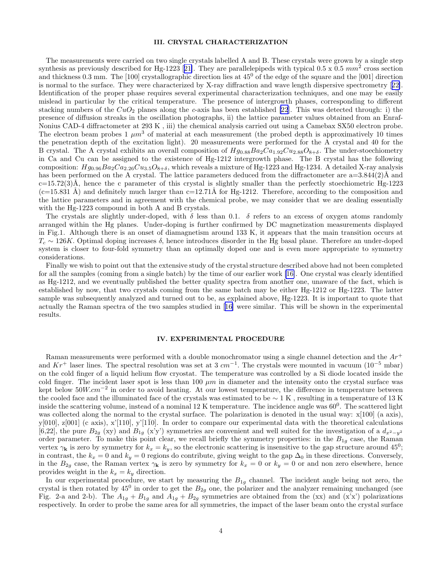## III. CRYSTAL CHARACTERIZATION

The measurements were carried on two single crystals labelled A and B. These crystals were grown by a single step synthesisas previously described for Hg-1223 [[21\]](#page-10-0). They are parallelepipeds with typical 0.5 x  $0.5 \, mm^2$  cross section and thickness 0.3 mm. The  $[100]$  crystallographic direction lies at  $45^0$  of the edge of the square and the  $[001]$  direction is normal to the surface. They were characterized by X-ray diffraction and wave length dispersive spectrometry[[22\]](#page-10-0). Identification of the proper phase requires several experimental characterization techniques, and one may be easily mislead in particular by the critical temperature. The presence of intergrowth phases, corresponding to different stacking numbers of the  $CuO<sub>2</sub>$  planes along the c-axis has been established [\[22](#page-10-0)]. This was detected through: i) the presence of diffusion streaks in the oscillation photographs, ii) the lattice parameter values obtained from an Enraf-Nonius CAD-4 diffractometer at 293 K , iii) the chemical analysis carried out using a Camebax SX50 electron probe. The electron beam probes 1  $\mu m^3$  of material at each measurement (the probed depth is approximatively 10 times the penetration depth of the excitation light). 20 measurements were performed for the A crystal and 40 for the B crystal. The A crystal exhibits an overall composition of  $Hg_{0.88}Ba_2Ca_{1.92}Cu_{2.88}O_{8+\delta}$ . The under-stoechiometry in Ca and Cu can be assigned to the existence of Hg-1212 intergrowth phase. The B crystal has the following composition:  $Hg_{0.96}Ba_2Ca_{2.26}Cu_{3.5}O_{8+\delta}$ , which reveals a mixture of Hg-1223 and Hg-1234. A detailed X-ray analysis has been performed on the A crystal. The lattice parameters deduced from the diffractometer are  $a=3.844(2)$ Å and  $c=15.72(3)$ Å, hence the c parameter of this crystal is slightly smaller than the perfectly stoechiometric Hg-1223  $(c=15.831 \text{ Å})$  and definitely much larger than  $c=12.71\text{Å}$  for Hg-1212. Therefore, according to the composition and the lattice parameters and in agreement with the chemical probe, we may consider that we are dealing essentially with the Hg-1223 compound in both A and B crystals.

The crystals are slightly under-doped, with  $\delta$  less than 0.1.  $\delta$  refers to an excess of oxygen atoms randomly arranged within the Hg planes. Under-doping is further confirmed by DC magnetization measurements displayed in Fig.1. Although there is an onset of diamagnetism around 133 K, it appears that the main transition occurs at  $T_c \sim 126K$ . Optimal doping increases  $\delta$ , hence introduces disorder in the Hg basal plane. Therefore an under-doped system is closer to four-fold symmetry than an optimally doped one and is even more appropriate to symmetry considerations.

Finally we wish to point out that the extensive study of the crystal structure described above had not been completed for all the samples (coming from a single batch) by the time of our earlier work [\[16\]](#page-10-0). One crystal was clearly identified as Hg-1212, and we eventually published the better quality spectra from another one, unaware of the fact, which is established by now, that two crystals coming from the same batch may be either Hg-1212 or Hg-1223. The latter sample was subsequently analyzed and turned out to be, as explained above, Hg-1223. It is important to quote that actually the Raman spectra of the two samples studied in[[16\]](#page-10-0) were similar. This will be shown in the experimental results.

### IV. EXPERIMENTAL PROCEDURE

Raman measurements were performed with a double monochromator using a single channel detection and the  $Ar^+$ and  $Kr^+$  laser lines. The spectral resolution was set at 3  $cm^{-1}$ . The crystals were mounted in vacuum (10<sup>-5</sup> mbar) on the cold finger of a liquid helium flow cryostat. The temperature was controlled by a Si diode located inside the cold finger. The incident laser spot is less than 100  $\mu$ m in diameter and the intensity onto the crystal surface was kept below 50W.cm<sup>-2</sup> in order to avoid heating. At our lowest temperature, the difference in temperature between the cooled face and the illuminated face of the crystals was estimated to be  $\sim 1 \text{ K}$ , resulting in a temperature of 13 K inside the scattering volume, instead of a nominal 12 K temperature. The incidence angle was  $60^0$ . The scattered light was collected along the normal to the crystal surface. The polarization is denoted in the usual way:  $x[100]$  (a axis), y[010], z[001] (c axis),  $x'[110]$ ,  $y'[1\overline{1}0]$ . In order to compare our experimental data with the theoretical calculations [6,22], the pure  $B_{2g}$  (xy) and  $B_{1g}$  (x'y') symmetries are convenient and well suited for the investigation of a  $d_{x^2-y^2}$ order parameter. To make this point clear, we recall briefly the symmetry properties: in the  $B_{1q}$  case, the Raman vertex  $\gamma_k$  is zero by symmetry for  $k_x = k_y$ , so the electronic scattering is insensitive to the gap structure around 45<sup>0</sup>; in contrast, the  $k_x = 0$  and  $k_y = 0$  regions do contribute, giving weight to the gap  $\Delta_0$  in these directions. Conversely, in the  $B_{2g}$  case, the Raman vertex  $\gamma_k$  is zero by symmetry for  $k_x = 0$  or  $k_y = 0$  or and non zero elsewhere, hence provides weight in the  $k_x = k_y$  direction.

In our experimental procedure, we start by measuring the  $B_{1g}$  channel. The incident angle being not zero, the crystal is then rotated by  $45^0$  in order to get the  $B_{2g}$  one, the polarizer and the analyzer remaining unchanged (see Fig. 2-a and 2-b). The  $A_{1g} + B_{1g}$  and  $A_{1g} + B_{2g}$  symmetries are obtained from the (xx) and (x'x') polarizations respectively. In order to probe the same area for all symmetries, the impact of the laser beam onto the crystal surface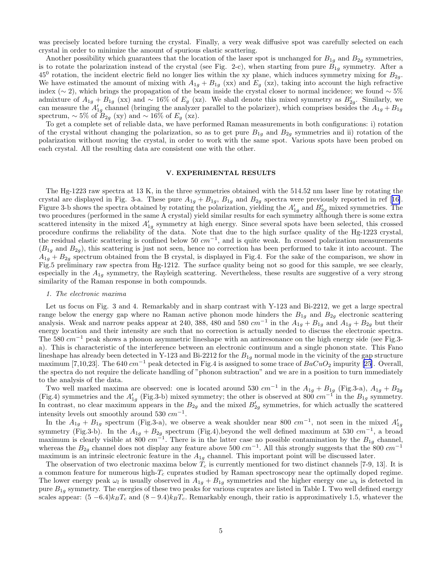was precisely located before turning the crystal. Finally, a very weak diffusive spot was carefully selected on each crystal in order to minimize the amount of spurious elastic scattering.

Another possibility which guarantees that the location of the laser spot is unchanged for  $B_{1g}$  and  $B_{2g}$  symmetries, is to rotate the polarization instead of the crystal (see Fig. 2-c), when starting from pure  $B_{1g}$  symmetry. After a 45<sup>0</sup> rotation, the incident electric field no longer lies within the xy plane, which induces symmetry mixing for  $B_{2g}$ . We have estimated the amount of mixing with  $A_{1g} + B_{1g}$  (xx) and  $E_g$  (xz), taking into account the high refractive index ( $∼ 2$ ), which brings the propagation of the beam inside the crystal closer to normal incidence; we found  $~ ∅ 5\%$ admixture of  $A_{1g} + B_{1g}$  (xx) and ~ 16% of  $E_g$  (xz). We shall denote this mixed symmetry as  $B'_{2g}$ . Similarly, we can measure the  $A'_{1g}$  channel (bringing the analyzer parallel to the polarizer), which comprises besides the  $A_{1g} + B_{1g}$ spectrum,  $\sim 5\%$  of  $B_{2g}$  (xy) and  $\sim 16\%$  of  $E_g$  (xz).

To get a complete set of reliable data, we have performed Raman measurements in both configurations: i) rotation of the crystal without changing the polarization, so as to get pure  $B_{1g}$  and  $B_{2g}$  symmetries and ii) rotation of the polarization without moving the crystal, in order to work with the same spot. Various spots have been probed on each crystal. All the resulting data are consistent one with the other.

### V. EXPERIMENTAL RESULTS

The Hg-1223 raw spectra at 13 K, in the three symmetries obtained with the 514.52 nm laser line by rotating the crystalare displayed in Fig. 3-a. These pure  $A_{1g} + B_{1g}$ ,  $B_{1g}$  and  $B_{2g}$  spectra were previously reported in ref [[16\]](#page-10-0). Figure 3-b shows the spectra obtained by rotating the polarization, yielding the  $A'_{1g}$  and  $B'_{2g}$  mixed symmetries. The two procedures (performed in the same A crystal) yield similar results for each symmetry although there is some extra scattered intensity in the mixed  $A'_{1g}$  symmetry at high energy. Since several spots have been selected, this crossed procedure confirms the reliability of the data. Note that due to the high surface quality of the Hg-1223 crystal, the residual elastic scattering is confined below 50  $cm^{-1}$ , and is quite weak. In crossed polarization measurements  $(B_{1g}$  and  $B_{2g})$ , this scattering is just not seen, hence no correction has been performed to take it into account. The  $A_{1g} + B_{2g}$  spectrum obtained from the B crystal, is displayed in Fig.4. For the sake of the comparison, we show in Fig.5 preliminary raw spectra from Hg-1212. The surface quality being not so good for this sample, we see clearly, especially in the  $A_{1g}$  symmetry, the Rayleigh scattering. Nevertheless, these results are suggestive of a very strong similarity of the Raman response in both compounds.

#### 1. The electronic maxima

Let us focus on Fig. 3 and 4. Remarkably and in sharp contrast with Y-123 and Bi-2212, we get a large spectral range below the energy gap where no Raman active phonon mode hinders the  $B_{1q}$  and  $B_{2q}$  electronic scattering analysis. Weak and narrow peaks appear at 240, 388, 480 and 580  $cm^{-1}$  in the  $A_{1g} + B_{1g}$  and  $A_{1g} + B_{2g}$  but their energy location and their intensity are such that no correction is actually needed to discuss the electronic spectra. The 580  $cm^{-1}$  peak shows a phonon asymmetric lineshape with an antiresonance on the high energy side (see Fig.3a). This is characteristic of the interference between an electronic continuum and a single phonon state. This Fano lineshape has already been detected in Y-123 and Bi-2212 for the  $B_{1g}$  normal mode in the vicinity of the gap structure maximum [7,10,23]. The 640  $cm^{-1}$  peak detected in Fig.4 is assigned to some trace of  $BaCuO_2$  impurity [\[25](#page-10-0)]. Overall, the spectra do not require the delicate handling of "phonon subtraction" and we are in a position to turn immediately to the analysis of the data.

Two well marked maxima are observed: one is located around 530  $cm^{-1}$  in the  $A_{1g} + B_{1g}$  (Fig.3-a),  $A_{1g} + B_{2g}$ (Fig.4) symmetries and the  $A'_{1g}$  (Fig.3-b) mixed symmetry; the other is observed at 800 cm<sup>-1</sup> in the  $B'_{1g}$  symmetry. In contrast, no clear maximum appears in the  $B_{2g}$  and the mixed  $B'_{2g}$  symmetries, for which actually the scattered intensity levels out smoothly around 530  $cm^{-1}$ .

In the  $A_{1g} + B_{1g}$  spectrum (Fig.3-a), we observe a weak shoulder near 800 cm<sup>-1</sup>, not seen in the mixed  $A'_{1g}$ symmetry (Fig.3-b). In the  $A_{1g} + B_{2g}$  spectrum (Fig.4),beyond the well defined maximum at 530  $cm^{-1}$ , a broad maximum is clearly visible at 800  $cm^{-1}$ . There is in the latter case no possible contamination by the  $B_{1g}$  channel, whereas the  $B_{2g}$  channel does not display any feature above 500  $cm^{-1}$ . All this strongly suggests that the 800  $cm^{-1}$ maximum is an intrinsic electronic feature in the  $A_{1g}$  channel. This important point will be discussed later.

The observation of two electronic maxima below  $T_c$  is currently mentioned for two distinct channels [7-9, 13]. It is a common feature for numerous high- $T_c$  cuprates studied by Raman spectroscopy near the optimally doped regime. The lower energy peak  $\omega_l$  is usually observed in  $A_{1g} + B_{1g}$  symmetries and the higher energy one  $\omega_h$  is detected in pure  $B_{1g}$  symmetry. The energies of these two peaks for various cuprates are listed in Table I. Two well defined energy scales appear:  $(5-6.4)k_BT_c$  and  $(8-9.4)k_BT_c$ . Remarkably enough, their ratio is approximatively 1.5, whatever the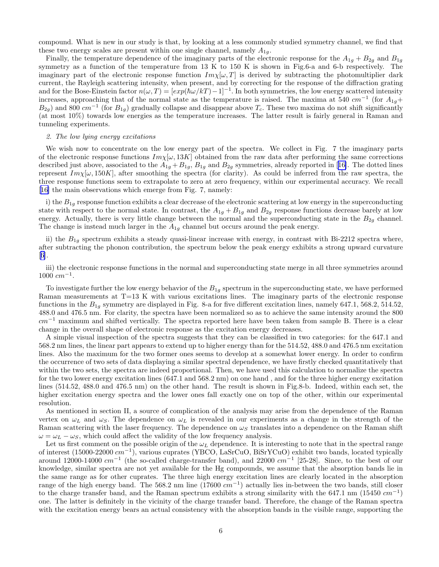compound. What is new in our study is that, by looking at a less commonly studied symmetry channel, we find that these two energy scales are present within one single channel, namely  $A_{1g}$ .

Finally, the temperature dependence of the imaginary parts of the electronic response for the  $A_{1g} + B_{2g}$  and  $B_{1g}$ symmetry as a function of the temperature from 13 K to 150 K is shown in Fig.6-a and 6-b respectively. The imaginary part of the electronic response function  $Im\chi[\omega,T]$  is derived by subtracting the photomultiplier dark current, the Rayleigh scattering intensity, when present, and by correcting for the response of the diffraction grating and for the Bose-Einstein factor  $n(\omega,T) = [exp(\hbar\omega/kT) - 1]^{-1}$ . In both symmetries, the low energy scattered intensity increases, approaching that of the normal state as the temperature is raised. The maxima at 540  $cm^{-1}$  (for  $A_{1g}$ +  $B_{2g}$ ) and 800 cm<sup>-1</sup> (for  $B_{1g}$ ) gradually collapse and disappear above  $T_c$ . These two maxima do not shift significantly (at most 10%) towards low energies as the temperature increases. The latter result is fairly general in Raman and tunneling experiments.

#### 2. The low lying energy excitations

We wish now to concentrate on the low energy part of the spectra. We collect in Fig. 7 the imaginary parts of the electronic response functions  $Im\chi[\omega, 13K]$  obtained from the raw data after performing the same corrections describedjust above, associated to the  $A_{1g} + B_{1g}$ ,  $B_{1g}$  and  $B_{2g}$  symmetries, already reported in [[16\]](#page-10-0). The dotted lines represent  $Im\chi[\omega, 150K]$ , after smoothing the spectra (for clarity). As could be inferred from the raw spectra, the three response functions seem to extrapolate to zero at zero frequency, within our experimental accuracy. We recall [[16\]](#page-10-0) the main observations which emerge from Fig. 7, namely:

i) the  $B_{1g}$  response function exhibits a clear decrease of the electronic scattering at low energy in the superconducting state with respect to the normal state. In contrast, the  $A_{1q} + B_{1q}$  and  $B_{2q}$  response functions decrease barely at low energy. Actually, there is very little change between the normal and the superconducting state in the  $B_{2q}$  channel. The change is instead much larger in the  $A_{1q}$  channel but occurs around the peak energy.

ii) the  $B_{1g}$  spectrum exhibits a steady quasi-linear increase with energy, in contrast with Bi-2212 spectra where, after subtracting the phonon contribution, the spectrum below the peak energy exhibits a strong upward curvature [[6\]](#page-10-0).

iii) the electronic response functions in the normal and superconducting state merge in all three symmetries around  $1000 \, \text{cm}^{-1}$ .

To investigate further the low energy behavior of the  $B_{1g}$  spectrum in the superconducting state, we have performed Raman measurements at T=13 K with various excitations lines. The imaginary parts of the electronic response functions in the  $B_{1q}$  symmetry are displayed in Fig. 8-a for five different excitation lines, namely 647.1, 568.2, 514.52, 488.0 and 476.5 nm. For clarity, the spectra have been normalized so as to achieve the same intensity around the 800  $cm^{-1}$  maximum and shifted vertically. The spectra reported here have been taken from sample B. There is a clear change in the overall shape of electronic response as the excitation energy decreases.

A simple visual inspection of the spectra suggests that they can be classified in two categories: for the 647.1 and 568.2 nm lines, the linear part appears to extend up to higher energy than for the 514.52, 488.0 and 476.5 nm excitation lines. Also the maximum for the two former ones seems to develop at a somewhat lower energy. In order to confirm the occurrence of two sets of data displaying a similar spectral dependence, we have firstly checked quantitatively that within the two sets, the spectra are indeed proportional. Then, we have used this calculation to normalize the spectra for the two lower energy excitation lines (647.1 and 568.2 nm) on one hand , and for the three higher energy excitation lines (514.52, 488.0 and 476.5 nm) on the other hand. The result is shown in Fig.8-b. Indeed, within each set, the higher excitation energy spectra and the lower ones fall exactly one on top of the other, within our experimental resolution.

As mentioned in section II, a source of complication of the analysis may arise from the dependence of the Raman vertex on  $\omega_L$  and  $\omega_S$ . The dependence on  $\omega_L$  is revealed in our experiments as a change in the strength of the Raman scattering with the laser frequency. The dependence on  $\omega<sub>S</sub>$  translates into a dependence on the Raman shift  $\omega = \omega_L - \omega_S$ , which could affect the validity of the low frequency analysis.

Let us first comment on the possible origin of the  $\omega_L$  dependence. It is interesting to note that in the spectral range of interest (15000-22000 cm<sup>-1</sup>), various cuprates (YBCO, LaSrCuO, BiSrYCuO) exhibit two bands, located typically around 12000-14000  $cm^{-1}$  (the so-called charge-transfer band), and 22000  $cm^{-1}$  [25-28]. Since, to the best of our knowledge, similar spectra are not yet available for the Hg compounds, we assume that the absorption bands lie in the same range as for other cuprates. The three high energy excitation lines are clearly located in the absorption range of the high energy band. The 568.2 nm line  $(17600 \text{ cm}^{-1})$  actually lies in-between the two bands, still closer to the charge transfer band, and the Raman spectrum exhibits a strong similarity with the 647.1 nm (15450  $cm^{-1}$ ) one. The latter is definitely in the vicinity of the charge transfer band. Therefore, the change of the Raman spectra with the excitation energy bears an actual consistency with the absorption bands in the visible range, supporting the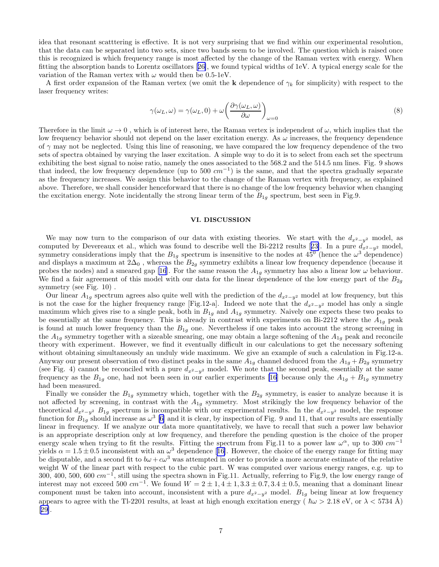idea that resonant scatttering is effective. It is not very surprising that we find within our experimental resolution, that the data can be separated into two sets, since two bands seem to be involved. The question which is raised once this is recognized is which frequency range is most affected by the change of the Raman vertex with energy. When fitting the absorption bands to Lorentz oscillators[[26\]](#page-10-0), we found typical widths of 1eV. A typical energy scale for the variation of the Raman vertex with  $\omega$  would then be 0.5-1eV.

A first order expansion of the Raman vertex (we omit the k dependence of  $\gamma_k$  for simplicity) with respect to the laser frequency writes:

$$
\gamma(\omega_L, \omega) = \gamma(\omega_L, 0) + \omega \left( \frac{\partial \gamma(\omega_L, \omega)}{\partial \omega} \right)_{\omega = 0} \tag{8}
$$

Therefore in the limit  $\omega \to 0$ , which is of interest here, the Raman vertex is independent of  $\omega$ , which implies that the low frequency behavior should not depend on the laser excitation energy. As  $\omega$  increases, the frequency dependence of  $\gamma$  may not be neglected. Using this line of reasoning, we have compared the low frequency dependence of the two sets of spectra obtained by varying the laser excitation. A simple way to do it is to select from each set the spectrum exhibiting the best signal to noise ratio, namely the ones associated to the 568.2 and the 514.5 nm lines. Fig. 9 shows that indeed, the low frequency dependence (up to 500  $cm^{-1}$ ) is the same, and that the spectra gradually separate as the frequency increases. We assign this behavior to the change of the Raman vertex with frequency, as explained above. Therefore, we shall consider henceforward that there is no change of the low frequency behavior when changing the excitation energy. Note incidentally the strong linear term of the  $B_{1g}$  spectrum, best seen in Fig.9.

### VI. DISCUSSION

We may now turn to the comparison of our data with existing theories. We start with the  $d_{x^2-y^2}$  model, as computedby Devereaux et al., which was found to describe well the Bi-2212 results [[23\]](#page-10-0). In a pure  $d_{x^2-y^2}$  model, symmetry considerations imply that the  $B_{1g}$  spectrum is insensitive to the nodes at  $45^{\circ}$  (hence the  $\omega^3$  dependence) and displays a maximum at  $2\Delta_0$ , whereas the  $B_{2g}$  symmetry exhibits a linear low frequency dependence (because it probes the nodes) and a smeared gap [\[16](#page-10-0)]. For the same reason the  $A_{1g}$  symmetry has also a linear low  $\omega$  behaviour. We find a fair agreement of this model with our data for the linear dependence of the low energy part of the  $B_{2q}$ symmetry (see Fig. 10) .

Our linear  $A_{1q}$  spectrum agrees also quite well with the prediction of the  $d_{x^2-y^2}$  model at low frequency, but this is not the case for the higher frequency range [Fig.12-a]. Indeed we note that the  $d_{x^2-y^2}$  model has only a single maximum which gives rise to a single peak, both in  $B_{1q}$  and  $A_{1q}$  symmetry. Naively one expects these two peaks to be essentially at the same frequency. This is already in contrast with experiments on Bi-2212 where the  $A_{1g}$  peak is found at much lower frequency than the  $B_{1g}$  one. Nevertheless if one takes into account the strong screening in the  $A_{1g}$  symmetry together with a sizeable smearing, one may obtain a large softening of the  $A_{1g}$  peak and reconcile theory with experiment. However, we find it eventually difficult in our calculations to get the necessary softening without obtaining simultaneously an unduly wide maximum. We give an example of such a calculation in Fig.12-a. Anyway our present observation of two distinct peaks in the same  $A_{1g}$  channel deduced from the  $A_{1g} + B_{2g}$  symmetry (see Fig. 4) cannot be reconciled with a pure  $d_{x^2-y^2}$  model. We note that the second peak, essentially at the same frequency as the  $B_{1g}$  one, had not been seen in our earlier experiments [\[16](#page-10-0)] because only the  $A_{1g} + B_{1g}$  symmetry had been measured.

Finally we consider the  $B_{1g}$  symmetry which, together with the  $B_{2g}$  symmetry, is easier to analyze because it is not affected by screening, in contrast with the  $A_{1g}$  symmetry. Most strikingly the low frequency behavior of the theoretical  $d_{x^2-y^2} B_{1g}$  spectrum is incompatible with our experimental results. In the  $d_{x^2-y^2}$  model, the response function for  $B_{1g}$  should increase as  $\omega^3$  [[6\]](#page-10-0) and it is clear, by inspection of Fig. 9 and 11, that our results are essentially linear in frequency. If we analyze our data more quantitatively, we have to recall that such a power law behavior is an appropriate description only at low frequency, and therefore the pending question is the choice of the proper energy scale when trying to fit the results. Fitting the spectrum from Fig.11 to a power law  $\omega^{\alpha}$ , up to 300 cm<sup>-1</sup> yields $\alpha = 1.5 \pm 0.5$  inconsistent with an  $\omega^3$  dependence [[16\]](#page-10-0). However, the choice of the energy range for fitting may be disputable, and a second fit to  $b\omega + c\omega^3$  was attempted in order to provide a more accurate estimate of the relative weight W of the linear part with respect to the cubic part. W was computed over various energy ranges, e.g. up to 300, 400, 500, 600  $cm^{-1}$ , still using the spectra shown in Fig.11. Actually, referring to Fig.9, the low energy range of interest may not exceed 500  $cm^{-1}$ . We found  $W = 2 \pm 1, 4 \pm 1, 3.3 \pm 0.7, 3.4 \pm 0.5$ , meaning that a dominant linear component must be taken into account, inconsistent with a pure  $d_{x^2-y^2}$  model.  $B_{1g}$  being linear at low frequency appears to agree with the Tl-2201 results, at least at high enough excitation energy ( $\hbar \omega > 2.18 \text{ eV}$ , or  $\lambda < 5734 \text{ \AA}$ ) [[29\]](#page-10-0).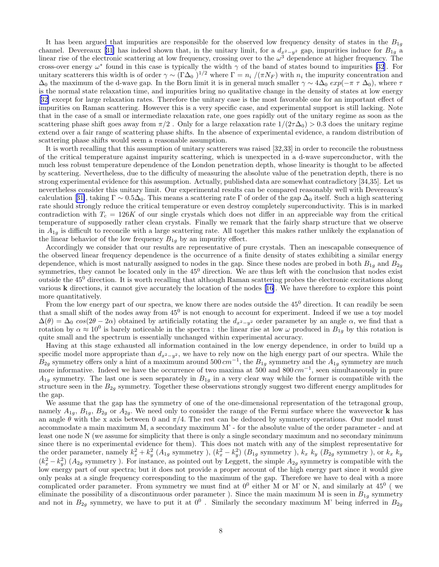It has been argued that impurities are responsible for the observed low frequency density of states in the  $B_{1q}$ channel.Devereaux [[31\]](#page-10-0) has indeed shown that, in the unitary limit, for a  $d_{x^2-y^2}$  gap, impurities induce for  $B_{1g}$  a linear rise of the electronic scattering at low frequency, crossing over to the  $\omega^3$  dependence at higher frequency. The cross-over energy  $\omega^*$  found in this case is typically the width  $\gamma$  of the band of states bound to impurities [\[32](#page-10-0)]. For unitary scatterers this width is of order  $\gamma \sim (\Gamma \Delta_0)^{1/2}$  where  $\Gamma = n_i / (\pi N_F)$  with  $n_i$  the impurity concentration and  $\Delta_0$  the maximum of the d-wave gap. In the Born limit it is in general much smaller  $\gamma \sim 4\Delta_0 \exp(-\pi \tau \Delta_0)$ , where  $\tau$ is the normal state relaxation time, and impurities bring no qualitative change in the density of states at low energy [[32\]](#page-10-0) except for large relaxation rates. Therefore the unitary case is the most favorable one for an important effect of impurities on Raman scattering. However this is a very specific case, and experimental support is still lacking. Note that in the case of a small or intermediate relaxation rate, one goes rapidly out of the unitary regime as soon as the scattering phase shift goes away from  $\pi/2$ . Only for a large relaxation rate  $1/(2\tau\Delta_0) > 0.3$  does the unitary regime extend over a fair range of scattering phase shifts. In the absence of experimental evidence, a random distribution of scattering phase shifts would seem a reasonable assumption.

It is worth recalling that this assumption of unitary scatterers was raised [32,33] in order to reconcile the robustness of the critical temperature against impurity scattering, which is unexpected in a d-wave superconductor, with the much less robust temperature dependence of the London penetration depth, whose linearity is thought to be affected by scattering. Nevertheless, due to the difficulty of measuring the absolute value of the penetration depth, there is no strong experimental evidence for this assumption. Actually, published data are somewhat contradictory [34,35]. Let us nevertheless consider this unitary limit. Our experimental results can be compared reasonably well with Devereaux's calculation[[31\]](#page-10-0), taking  $\Gamma \sim 0.5\Delta_0$ . This means a scattering rate Γ of order of the gap  $\Delta_0$  itself. Such a high scattering rate should strongly reduce the critical temperature or even destroy completely superconductivity. This is in marked contradiction with  $T_c = 126K$  of our single crystals which does not differ in an appreciable way from the critical temperature of supposedly rather clean crystals. Finally we remark that the fairly sharp structure that we observe in  $A_{1q}$  is difficult to reconcile with a large scattering rate. All together this makes rather unlikely the explanation of the linear behavior of the low frequency  $B_{1g}$  by an impurity effect.

Accordingly we consider that our results are representative of pure crystals. Then an inescapable consequence of the observed linear frequency dependence is the occurrence of a finite density of states exhibiting a similar energy dependence, which is most naturally assigned to nodes in the gap. Since these nodes are probed in both  $B_{1g}$  and  $B_{2g}$ symmetries, they cannot be located only in the  $45^0$  direction. We are thus left with the conclusion that nodes exist outside the 45<sup>0</sup> direction. It is worth recalling that although Raman scattering probes the electronic excitations along various k directions, it cannot give accurately the location of the nodes [\[16](#page-10-0)]. We have therefore to explore this point more quantitatively.

From the low energy part of our spectra, we know there are nodes outside the  $45^{\circ}$  direction. It can readily be seen that a small shift of the nodes away from  $45^0$  is not enough to account for experiment. Indeed if we use a toy model  $\Delta(\theta) = \Delta_0 \cos(2\theta - 2\alpha)$  obtained by artificially rotating the  $d_{x^2-y^2}$  order parameter by an angle  $\alpha$ , we find that a rotation by  $\alpha \approx 10^0$  is barely noticeable in the spectra : the linear rise at low  $\omega$  produced in  $B_{1g}$  by this rotation is quite small and the spectrum is essentially unchanged within experimental accuracy.

Having at this stage exhausted all information contained in the low energy dependence, in order to build up a specific model more appropriate than  $d_{x^2-y^2}$ , we have to rely now on the high energy part of our spectra. While the  $B_{2g}$  symmetry offers only a hint of a maximum around 500 cm<sup>-1</sup>, the  $B_{1g}$  symmetry and the  $A_{1g}$  symmetry are much more informative. Indeed we have the occurrence of two maxima at  $500$  and  $800 \text{ cm}^{-1}$ , seen simultaneously in pure  $A_{1g}$  symmetry. The last one is seen separately in  $B_{1g}$  in a very clear way while the former is compatible with the structure seen in the  $B_{2g}$  symmetry. Together these observations strongly suggest two different energy amplitudes for the gap.

We assume that the gap has the symmetry of one of the one-dimensional representation of the tetragonal group, namely  $A_{1q}$ ,  $B_{1q}$ ,  $B_{2q}$  or  $A_{2q}$ . We need only to consider the range of the Fermi surface where the wavevector **k** has an angle  $\theta$  with the x axis between 0 and  $\pi/4$ . The rest can be deduced by symmetry operations. Our model must accommodate a main maximum M, a secondary maximum M' - for the absolute value of the order parameter - and at least one node N (we assume for simplicity that there is only a single secondary maximum and no secondary minimum since there is no experimental evidence for them). This does not match with any of the simplest representative for the order parameter, namely  $k_x^2 + k_y^2$  ( $A_{1g}$  symmetry),  $(k_x^2 - k_y^2)$  ( $B_{1g}$  symmetry),  $k_x$   $k_y$  ( $B_{2g}$  symmetry), or  $k_x$   $k_y$  $(k_x^2 - k_y^2)$  ( $A_{2g}$  symmetry). For instance, as pointed out by Leggett, the simple  $A_{2g}$  symmetry is compatible with the low energy part of our spectra; but it does not provide a proper account of the high energy part since it would give only peaks at a single frequency corresponding to the maximum of the gap. Therefore we have to deal with a more complicated order parameter. From symmetry we must find at  $0^0$  either M or M' or N, and similarly at  $45^0$  (we eliminate the possibility of a discontinuous order parameter ). Since the main maximum M is seen in  $B_{1g}$  symmetry and not in  $B_{2g}$  symmetry, we have to put it at  $0^0$ . Similarly the secondary maximum M' being inferred in  $B_{2g}$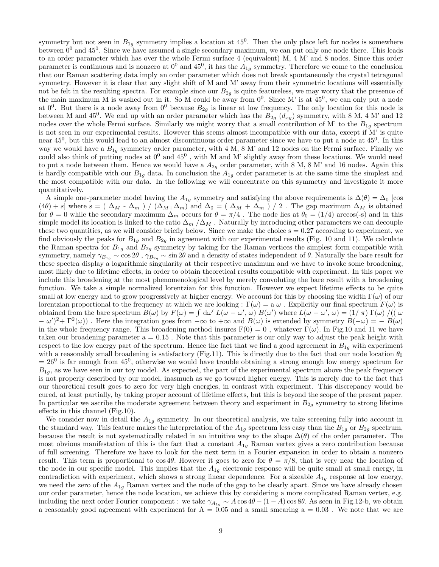symmetry but not seen in  $B_{1g}$  symmetry implies a location at  $45^0$ . Then the only place left for nodes is somewhere between  $0^0$  and  $45^0$ . Since we have assumed a single secondary maximum, we can put only one node there. This leads to an order parameter which has over the whole Fermi surface 4 (equivalent) M, 4 M' and 8 nodes. Since this order parameter is continuous and is nonzero at  $0^0$  and  $45^0$ , it has the  $A_{1g}$  symmetry. Therefore we come to the conclusion that our Raman scattering data imply an order parameter which does not break spontaneously the crystal tetragonal symmetry. However it is clear that any slight shift of M and M' away from their symmetric locations will essentially not be felt in the resulting spectra. For example since our  $B_{2q}$  is quite featureless, we may worry that the presence of the main maximum M is washed out in it. So M could be away from  $0^0$ . Since M' is at 45<sup>0</sup>, we can only put a node at  $0^0$ . But there is a node away from  $0^0$  because  $B_{2g}$  is linear at low frequency. The only location for this node is between M and 45<sup>0</sup>. We end up with an order parameter which has the  $B_{2g}$   $(d_{xy})$  symmetry, with 8 M, 4 M' and 12 nodes over the whole Fermi surface. Similarly we might worry that a small contribution of M' to the  $B_{1g}$  spectrum is not seen in our experimental results. However this seems almost incompatible with our data, except if M' is quite near 45<sup>0</sup>, but this would lead to an almost discontinuous order parameter since we have to put a node at 45<sup>0</sup>. In this way we would have a  $B_{1q}$  symmetry order parameter, with 4 M, 8 M' and 12 nodes on the Fermi surface. Finally we could also think of putting nodes at  $0^0$  and  $45^0$ , with M and M' slightly away from these locations. We would need to put a node between them. Hence we would have a  $A_{2q}$  order parameter, with 8 M, 8 M' and 16 nodes. Again this is hardly compatible with our  $B_{1g}$  data. In conclusion the  $A_{1g}$  order parameter is at the same time the simplest and the most compatible with our data. In the following we will concentrate on this symmetry and investigate it more quantitatively.

A simple one-parameter model having the  $A_{1g}$  symmetry and satisfying the above requirements is  $\Delta(\theta) = \Delta_0$  [cos  $(4\theta) + s$  where s =  $(\Delta_M - \Delta_m) / (\Delta_{M+}\Delta_m)$  and  $\Delta_0 = (\Delta_M + \Delta_m) / 2$ . The gap maximum  $\Delta_M$  is obtained for  $\theta = 0$  while the secondary maximum  $\Delta_m$  occurs for  $\theta = \pi/4$ . The node lies at  $\theta_0 = (1/4)$  arccos(-s) and in this simple model its location is linked to the ratio  $\Delta_m/\Delta_M$ . Naturally by introducing other parameters we can decouple these two quantities, as we will consider briefly below. Since we make the choice  $s = 0.27$  according to experiment, we find obviously the peaks for  $B_{1g}$  and  $B_{2g}$  in agreement with our experimental results (Fig. 10 and 11). We calculate the Raman spectra for  $B_{1g}$  and  $B_{2g}$  symmetry by taking for the Raman vertices the simplest form compatible with symmetry, namely  $\gamma_{B_{1g}} \sim \cos 2\theta$ ,  $\gamma_{B_{2g}} \sim \sin 2\theta$  and a density of states independent of  $\theta$ . Naturally the bare result for these spectra display a logarithmic singularity at their respective maximum and we have to invoke some broadening, most likely due to lifetime effects, in order to obtain theoretical results compatible with experiment. In this paper we include this broadening at the most phenomenological level by merely convoluting the bare result with a broadening function. We take a simple normalized lorentzian for this function. However we expect lifetime effects to be quite small at low energy and to grow progressively at higher energy. We account for this by choosing the width  $\Gamma(\omega)$  of our lorentzian proportional to the frequency at which we are looking :  $\Gamma(\omega) = a \omega$ . Explicitly our final spectrum  $F(\omega)$  is obtained from the bare spectrum  $B(\omega)$  by  $F(\omega) = \int d\omega' L(\omega - \omega', \omega) B(\omega')$  where  $L(\omega - \omega', \omega) = (1/\pi) \Gamma(\omega) / ((\omega - \omega')^2)$  $(-\omega')^2 + \Gamma^2(\omega)$ ). Here the integration goes from  $-\infty$  to  $+\infty$  and  $B(\omega)$  is extended by symmetry  $B(-\omega) = -B(\omega)$ in the whole frequency range. This broadening method insures  $F(0) = 0$ , whatever  $\Gamma(\omega)$ . In Fig.10 and 11 we have taken our broadening parameter a = 0.15 . Note that this parameter is our only way to adjust the peak height with respect to the low energy part of the spectrum. Hence the fact that we find a good agreement in  $B_{1q}$  with experiment with a reasonably small broadening is satisfactory (Fig.11). This is directly due to the fact that our node location  $\theta_0$  $= 26<sup>0</sup>$  is far enough from 45<sup>0</sup>, otherwise we would have trouble obtaining a strong enough low energy spectrum for  $B_{1g}$ , as we have seen in our toy model. As expected, the part of the experimental spectrum above the peak frequency is not properly described by our model, inasmuch as we go toward higher energy. This is merely due to the fact that our theoretical result goes to zero for very high energies, in contrast with experiment. This discrepancy would be cured, at least partially, by taking proper account of lifetime effects, but this is beyond the scope of the present paper. In particular we ascribe the moderate agreement between theory and experiment in  $B_{2g}$  symmetry to strong lifetime effects in this channel (Fig.10).

We consider now in detail the  $A_{1g}$  symmetry. In our theoretical analysis, we take screening fully into account in the standard way. This feature makes the interpretation of the  $A_{1g}$  spectrum less easy than the  $B_{1g}$  or  $B_{2g}$  spectrum, because the result is not systematically related in an intuitive way to the shape  $\Delta(\theta)$  of the order parameter. The most obvious manifestation of this is the fact that a constant  $A_{1g}$  Raman vertex gives a zero contribution because of full screening. Therefore we have to look for the next term in a Fourier expansion in order to obtain a nonzero result. This term is proportional to  $\cos 4\theta$ . However it goes to zero for  $\theta = \pi/8$ , that is very near the location of the node in our specific model. This implies that the  $A_{1g}$  electronic response will be quite small at small energy, in contradiction with experiment, which shows a strong linear dependence. For a sizeable  $A_{1q}$  response at low energy, we need the zero of the  $A_{1g}$  Raman vertex and the node of the gap to be clearly apart. Since we have already chosen our order parameter, hence the node location, we achieve this by considering a more complicated Raman vertex, e.g. including the next order Fourier component : we take  $\gamma_{A_{1g}} \sim A \cos 4\theta - (1 - A) \cos 8\theta$ . As seen in Fig.12-b, we obtain a reasonably good agreement with experiment for  $A = 0.05$  and a small smearing  $a = 0.03$ . We note that we are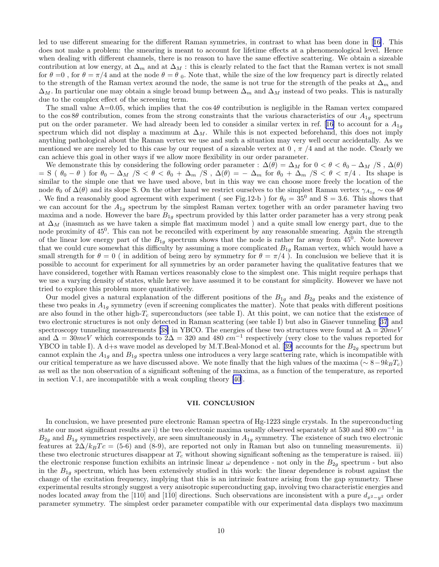led to use different smearing for the different Raman symmetries, in contrast to what has been done in[[16\]](#page-10-0). This does not make a problem: the smearing is meant to account for lifetime effects at a phenomenological level. Hence when dealing with different channels, there is no reason to have the same effective scattering. We obtain a sizeable contribution at low energy, at  $\Delta_m$  and at  $\Delta_M$ : this is clearly related to the fact that the Raman vertex is not small for  $\theta = 0$ , for  $\theta = \pi/4$  and at the node  $\theta = \theta_0$ . Note that, while the size of the low frequency part is directly related to the strength of the Raman vertex around the node, the same is not true for the strength of the peaks at  $\Delta_m$  and  $\Delta_M$ . In particular one may obtain a single broad bump between  $\Delta_m$  and  $\Delta_M$  instead of two peaks. This is naturally due to the complex effect of the screening term.

The small value  $A=0.05$ , which implies that the cos  $4\theta$  contribution is negligible in the Raman vertex compared to the cos 8 $\theta$  contribution, comes from the strong constraints that the various characteristics of our  $A_{1g}$  spectrum put on the order parameter. We had already been led to consider a similar vertex in ref. [\[16](#page-10-0)] to account for a  $A_{1g}$ spectrum which did not display a maximum at  $\Delta_M$ . While this is not expected beforehand, this does not imply anything pathological about the Raman vertex we use and such a situation may very well occur accidentally. As we mentioned we are merely led to this case by our request of a sizeable vertex at  $0$ ,  $\pi/4$  and at the node. Clearly we can achieve this goal in other ways if we allow more flexibility in our order parameter.

We demonstrate this by considering the following order parameter :  $\Delta(\theta) = \Delta_M$  for  $0 < \theta < \theta_0 - \Delta_M / S$ ,  $\Delta(\theta)$  $= S$  (  $\theta_0 - \theta$  ) for  $\theta_0 - \Delta_M / S < \theta < \theta_0 + \Delta_m / S$ ,  $\Delta(\theta) = - \Delta_m$  for  $\theta_0 + \Delta_m / S < \theta < \pi/4$ . Its shape is similar to the simple one that we have used above, but in this way we can choose more freely the location of the node  $\theta_0$  of  $\Delta(\theta)$  and its slope S. On the other hand we restrict ourselves to the simplest Raman vertex  $\gamma_{A_{1a}} \sim \cos 4\theta$ . We find a reasonably good agreement with experiment (see Fig.12-b) for  $\theta_0 = 35^0$  and S = 3.6. This shows that we can account for the  $A_{1g}$  spectrum by the simplest Raman vertex together with an order parameter having two maxima and a node. However the bare  $B_{1g}$  spectrum provided by this latter order parameter has a very strong peak at  $\Delta_M$  (inasmuch as we have taken a simple flat maximum model) and a quite small low energy part, due to the node proximity of 45<sup>0</sup>. This can not be reconciled with experiment by any reasonable smearing. Again the strength of the linear low energy part of the  $B_{1g}$  spectrum shows that the node is rather far away from  $45^{\circ}$ . Note however that we could cure somewhat this difficulty by assuming a more complicated  $B_{1g}$  Raman vertex, which would have a small strength for  $\theta = 0$  (in addition of being zero by symmetry for  $\theta = \pi/4$ ). In conclusion we believe that it is possible to account for experiment for all symmetries by an order parameter having the qualitative features that we have considered, together with Raman vertices reasonably close to the simplest one. This might require perhaps that we use a varying density of states, while here we have assumed it to be constant for simplicity. However we have not tried to explore this problem more quantitatively.

Our model gives a natural explanation of the different positions of the  $B_{1g}$  and  $B_{2g}$  peaks and the existence of these two peaks in  $A_{1q}$  symmetry (even if screening complicates the matter). Note that peaks with different positions are also found in the other high- $T_c$  superconductors (see table I). At this point, we can notice that the existence of two electronic structures is not only detected in Raman scattering (see table I) but also in Giaever tunneling [\[37](#page-10-0)] and spectroscopytunneling measurements [[38\]](#page-10-0) in YBCO. The energies of these two structures were found at  $\Delta = 20meV$ and  $\Delta = 30$  meV which corresponds to  $2\Delta = 320$  and 480 cm<sup>-1</sup> respectively (very close to the values reported for YBCOin table I). A d+s wave model as developed by M.T.Beal-Monod et al. [[39\]](#page-10-0) accounts for the  $B_{2q}$  spectrum but cannot explain the  $A_{1g}$  and  $B_{1g}$  spectra unless one introduces a very large scattering rate, which is incompatible with our critical temperature as we have discussed above. We note finally that the high values of the maxima ( $\sim 8-9k_BT_c$ ) as well as the non observation of a significant softening of the maxima, as a function of the temperature, as reported in section V.1, are incompatible with a weak coupling theory[[40\]](#page-11-0).

### VII. CONCLUSION

In conclusion, we have presented pure electronic Raman spectra of Hg-1223 single crystals. In the superconducting state our most significant results are i) the two electronic maxima usually observed separately at 530 and 800  $cm^{-1}$  in  $B_{2g}$  and  $B_{1g}$  symmetries respectively, are seen simultaneously in  $A_{1g}$  symmetry. The existence of such two electronic features at  $2\Delta/k_BT c = (5-6)$  and (8-9), are reported not only in Raman but also on tunneling measurements. ii) these two electronic structures disappear at  $T_c$  without showing significant softening as the temperature is raised. iii) the electronic response function exhibits an intrinsic linear  $\omega$  dependence - not only in the  $B_{2q}$  spectrum - but also in the  $B_{1q}$  spectrum, which has been extensively studied in this work: the linear dependence is robust against the change of the excitation frequency, implying that this is an intrinsic feature arising from the gap symmetry. These experimental results strongly suggest a very anisotropic superconducting gap, involving two characteristic energies and nodes located away from the [110] and [1 $\overline{1}0$ ] directions. Such observations are inconsistent with a pure  $d_{x^2-y^2}$  order parameter symmetry. The simplest order parameter compatible with our experimental data displays two maximum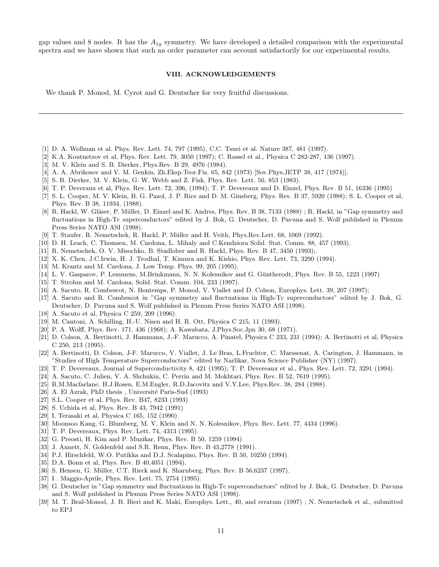<span id="page-10-0"></span>gap values and 8 nodes. It has the  $A_{1g}$  symmetry. We have developed a detailed comparison with the experimental spectra and we have shown that such an order parameter can account satisfactorily for our experimental results.

# VIII. ACKNOWLEDGEMENTS

We thank P. Monod, M. Cyrot and G. Deutscher for very fruitful discussions.

- [1] D. A. Wollman et al. Phys. Rev. Lett. 74, 797 (1995), C.C. Tsuei et al. Nature 387, 481 (1997).
- [2] K.A. Koutnetzov et al, Phys. Rev. Lett. 79, 3050 (1997); C. Rossel et al., Physica C 282-287, 136 (1997).
- [3] M. V. Klein and S. B. Dierker, Phys.Rev. B 29, 4976 (1984).
- [4] A. A. Abrikosov and V. M. Genkin, Zh.Eksp.Teor.Fiz. 65, 842 (1973) [Sov.Phys.JETP 38, 417 (1974)].
- [5] S. B. Dierker, M. V. Klein, G. W. Webb and Z. Fisk, Phys. Rev. Lett. 50, 853 (1983).
- [6] T. P. Deveraux et al, Phys. Rev. Lett. 72, 396, (1994); T. P. Devereaux and D. Einzel, Phys. Rev. B 51, 16336 (1995)
- [7] S. L. Cooper, M. V. Klein, B. G. Pazol, J. P. Rice and D. M. Ginsberg, Phys. Rev. B 37, 5920 (1988); S. L. Cooper et al, Phys. Rev. B 38, 11934, (1988).
- [8] R. Hackl, W. Gläser, P. Müller, D. Einzel and K. Andres, Phys. Rev. B 38, 7133 (1988); R. Hackl, in "Gap symmetry and fluctuations in High-Tc superconductors" edited by J. Bok, G. Deutscher, D. Pavuna and S. Wolf published in Plenum Press Series NATO ASI (1998).
- [9] T. Staufer, R. Nemetschek, R. Hackl, P. Müller and H. Veith, Phys.Rev.Lett. 68, 1069 (1992).
- [10] D. H. Leach, C. Thomsen, M. Cardona, L. Mihaly and C.Kendziora Solid. Stat. Comm. 88, 457 (1993).
- [11] R. Nemetschek, O. V. Misochko, B. Stadlober and R. Hackl, Phys. Rev. B 47, 3450 (1993);.
- [12] X. K. Chen, J.C.Irwin, H. J. Trodhal, T. Kimura and K. Kishio, Phys. Rev. Lett. 73, 3290 (1994).
- [13] M. Krantz and M. Cardona, J. Low Temp. Phys. 99, 205 (1995).
- [14] L. V. Gasparov, P. Lemmens, M.Brinkmann, N. N. Kolesnikov and G. Güntherodt, Phys. Rev. B 55, 1223 (1997)
- [15] T. Strohm and M. Cardona, Solid. Stat. Comm. 104, 233 (1997).
- [16] A. Sacuto, R. Combescot, N. Bontemps, P. Monod, V. Viallet and D. Colson, Europhys. Lett. 39, 207 (1997);
- [17] A. Sacuto and R. Combescot in "Gap symmetry and fluctuations in High-Tc superconductors" edited by J. Bok, G. Deutscher, D. Pavuna and S. Wolf published in Plenum Press Series NATO ASI (1998).
- [18] A. Sacuto et al, Physica C 259, 209 (1996).
- [19] M. Cantoni, A. Schilling, H.-U. Nisen and H. R. Ott, Physica C 215, 11 (1993).
- [20] P. A. Wolff, Phys. Rev. 171, 436 (1968); A. Kawabata, J.Phys.Soc.Jpn 30, 68 (1971).
- [21] D. Colson, A. Bertinotti, J. Hammann, J.-F. Marucco, A. Pinatel, Physica C 233, 231 (1994); A. Bertinotti et al, Physica C 250, 213 (1995).
- [22] A. Bertinotti, D. Colson, J-F. Marucco, V. Viallet, J. Le Bras, L.Fruchter, C. Marssenat, A. Carington, J. Hammann, in "Studies of High Temperature Superconductors" edited by Narlikar, Nova Science Publisher (NY) (1997).
- [23] T. P. Devereaux, Journal of Superconductivity 8, 421 (1995); T. P. Devereaux et al., Phys. Rev. Lett. 72, 3291 (1994).
- [24] A. Sacuto, C. Julien, V. A. Shchukin, C. Perrin and M. Mokhtari, Phys. Rev. B 52, 7619 (1995).
- [25] R.M.Macfarlane, H.J.Rosen, E.M.Engler, R.D.Jacovitz and V.Y.Lee, Phys.Rev. 38, 284 (1988).
- [26] A. El Azrak, PhD thesis , Universit´e Paris-Sud (1993)
- [27] S.L. Cooper et al, Phys. Rev. B47, 8233 (1993)
- [28] S. Uchida et al, Phys. Rev. B 43, 7942 (1991)
- [29] I. Terasaki et al, Physica C 165, 152 (1990)
- [30] Moonsoo Kang, G. Blumberg, M. V. Klein and N. N. Kolesnikov, Phys. Rev. Lett. 77, 4434 (1996).
- [31] T. P. Devereaux, Phys. Rev. Lett. 74, 4313 (1995).
- [32] G. Preosti, H. Kim and P. Muzikar, Phys. Rev. B 50, 1259 (1994)
- [33] J. Annett, N. Goldenfeld and S.R. Renn, Phys. Rev. B 43,2778 (1991).
- [34] P.J. Hirschfeld, W.O. Putikka and D.J. Scalapino, Phys. Rev. B 50, 10250 (1994).
- [35] D.A. Bonn et al, Phys. Rev. B 40,4051 (1994).
- [36] S. Hensen, G. Müller, C.T. Rieck and K. Sharnberg, Phys. Rev. B 56,6237 (1997).
- [37] I . Maggio-Aprile, Phys. Rev. Lett. 75, 2754 (1995).
- [38] G. Deutscher in "Gap symmetry and fluctuations in High-Tc superconductors" edited by J. Bok, G. Deutscher, D. Pavuna and S. Wolf published in Plenum Press Series NATO ASI (1998).
- [39] M. T. Beal-Monod, J. B. Bieri and K. Maki, Europhys. Lett., 40, and erratum (1997) ; N. Nemetschek et al., submitted to EPJ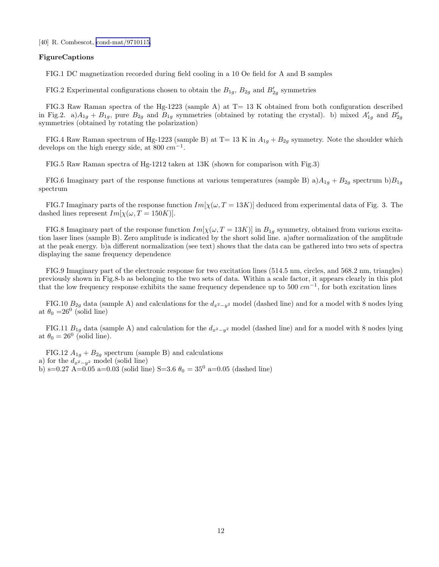<span id="page-11-0"></span>[40] R. Combescot, [cond-mat/9710115.](http://arxiv.org/abs/cond-mat/9710115)

# FigureCaptions

FIG.1 DC magnetization recorded during field cooling in a 10 Oe field for A and B samples

FIG.2 Experimental configurations chosen to obtain the  $B_{1g}$ ,  $B_{2g}$  and  $B'_{2g}$  symmetries

FIG.3 Raw Raman spectra of the Hg-1223 (sample A) at T= 13 K obtained from both configuration described in Fig.2. a) $A_{1g} + B_{1g}$ , pure  $B_{2g}$  and  $B_{1g}$  symmetries (obtained by rotating the crystal). b) mixed  $A'_{1g}$  and  $B'_{2g}$ symmetries (obtained by rotating the polarization)

FIG.4 Raw Raman spectrum of Hg-1223 (sample B) at T= 13 K in  $A_{1q} + B_{2q}$  symmetry. Note the shoulder which develops on the high energy side, at  $800 \text{ cm}^{-1}$ .

FIG.5 Raw Raman spectra of Hg-1212 taken at 13K (shown for comparison with Fig.3)

FIG.6 Imaginary part of the response functions at various temperatures (sample B) a) $A_{1g} + B_{2g}$  spectrum b) $B_{1g}$ spectrum

FIG.7 Imaginary parts of the response function  $Im[\chi(\omega, T = 13K)]$  deduced from experimental data of Fig. 3. The dashed lines represent  $Im[\chi(\omega, T = 150K)].$ 

FIG.8 Imaginary part of the response function  $Im[\chi(\omega, T = 13K)]$  in  $B_{1q}$  symmetry, obtained from various excitation laser lines (sample B). Zero amplitude is indicated by the short solid line. a)after normalization of the amplitude at the peak energy. b)a different normalization (see text) shows that the data can be gathered into two sets of spectra displaying the same frequency dependence

FIG.9 Imaginary part of the electronic response for two excitation lines (514.5 nm, circles, and 568.2 nm, triangles) previously shown in Fig.8-b as belonging to the two sets of data. Within a scale factor, it appears clearly in this plot that the low frequency response exhibits the same frequency dependence up to 500  $cm^{-1}$ , for both excitation lines

FIG.10  $B_{2g}$  data (sample A) and calculations for the  $d_{x^2-y^2}$  model (dashed line) and for a model with 8 nodes lying at  $\theta_0 = 26^{\circ}$  (solid line)

FIG.11  $B_{1g}$  data (sample A) and calculation for the  $d_{x^2-y^2}$  model (dashed line) and for a model with 8 nodes lying at  $\theta_0 = 26^{\circ}$  (solid line).

FIG.12  $A_{1g} + B_{2g}$  spectrum (sample B) and calculations a) for the  $d_{x^2-y^2}$  model (solid line) b) s=0.27 A=0.05 a=0.03 (solid line) S=3.6  $\theta_0 = 35^0$  a=0.05 (dashed line)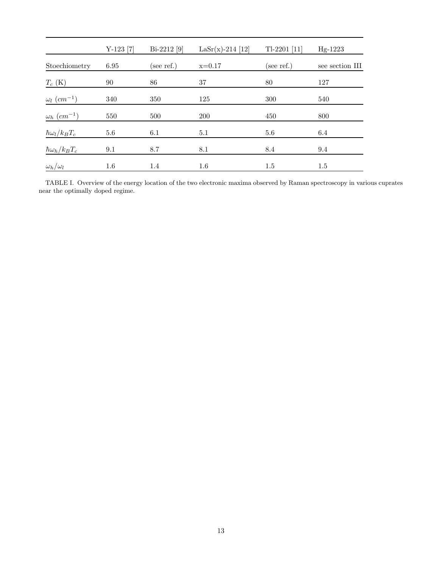|                        | $Y-123$ [7] | Bi-2212 [9] | $\text{LaSr(x)-214}[12]$ | $TI-2201$ [11] | Hg-1223         |
|------------------------|-------------|-------------|--------------------------|----------------|-----------------|
| Stoechiometry          | 6.95        | (see ref.)  | $x=0.17$                 | (see ref.)     | see section III |
| $T_c$ (K)              | 90          | 86          | 37                       | 80             | 127             |
| $\omega_l$ $(cm^{-1})$ | 340         | 350         | 125                      | 300            | 540             |
| $\omega_h$ $(cm^{-1})$ | 550         | 500         | 200                      | 450            | 800             |
| $\hbar\omega_l/k_BT_c$ | 5.6         | 6.1         | 5.1                      | 5.6            | 6.4             |
| $\hbar\omega_h/k_BT_c$ | 9.1         | 8.7         | 8.1                      | 8.4            | 9.4             |
| $\omega_h/\omega_l$    | 1.6         | 1.4         | $1.6\,$                  | 1.5            | $1.5\,$         |

TABLE I. Overview of the energy location of the two electronic maxima observed by Raman spectroscopy in various cuprates near the optimally doped regime.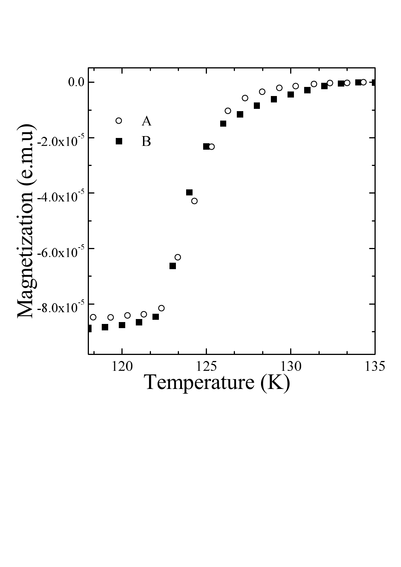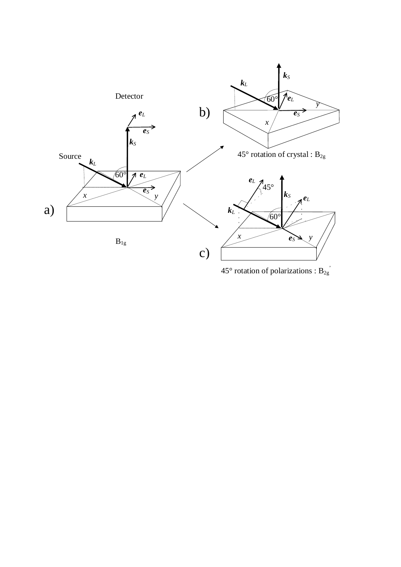

45° rotation of polarizations :  $B_{2g}$ <sup>'</sup>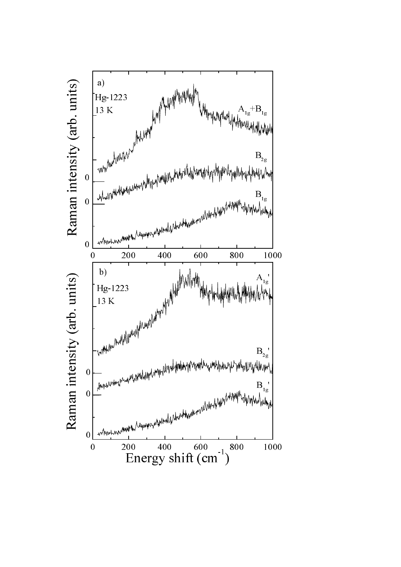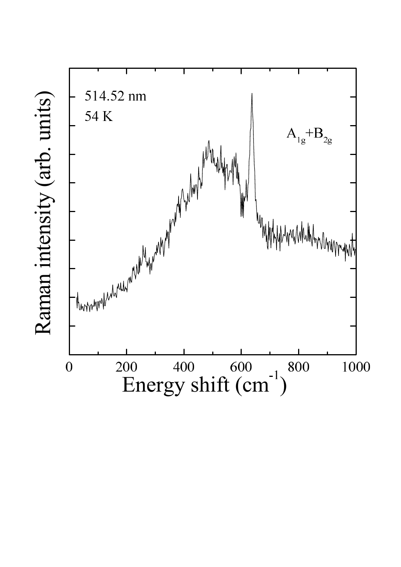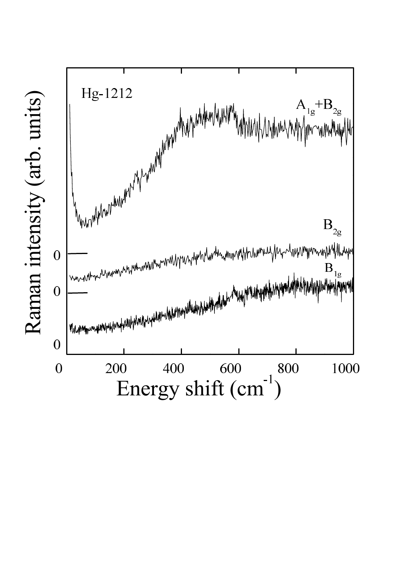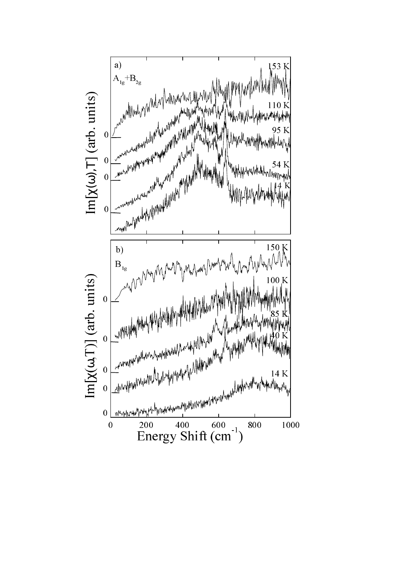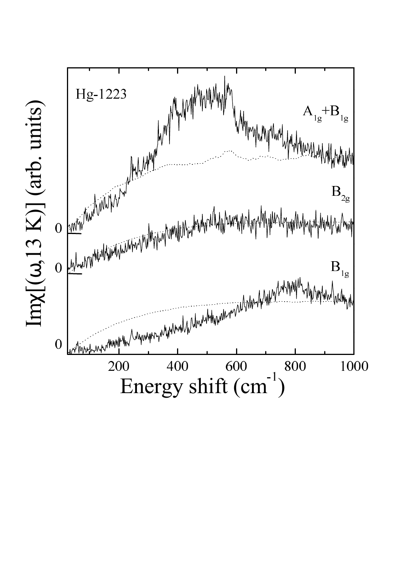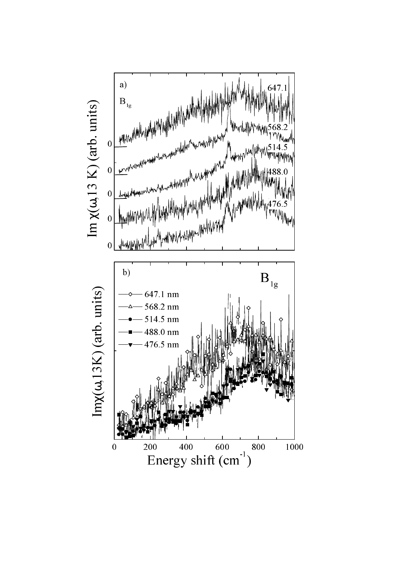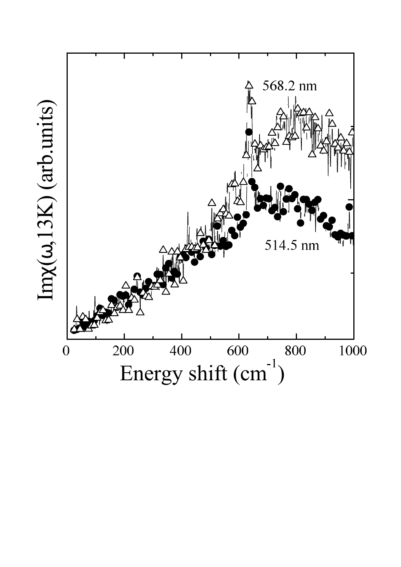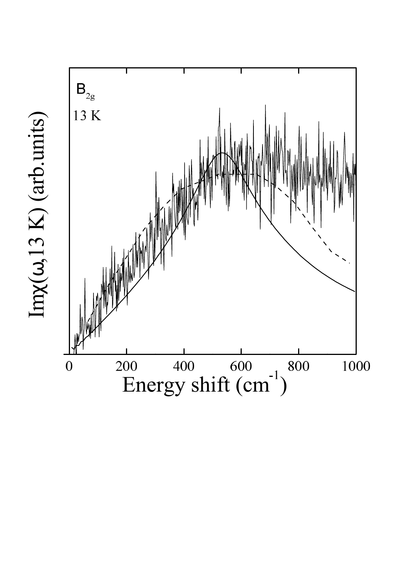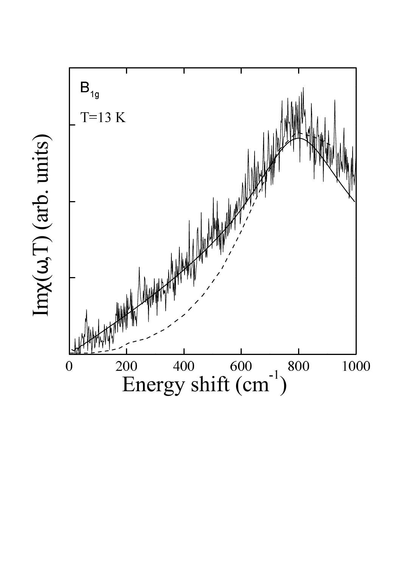